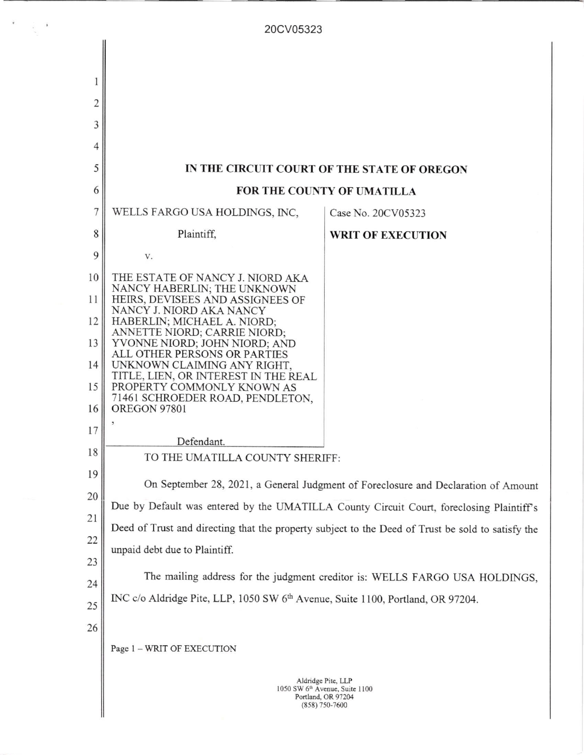| 20CV05323 |                                                                                                   |                          |
|-----------|---------------------------------------------------------------------------------------------------|--------------------------|
|           |                                                                                                   |                          |
|           |                                                                                                   |                          |
| 1         |                                                                                                   |                          |
| 2         |                                                                                                   |                          |
| 3         |                                                                                                   |                          |
| 4         |                                                                                                   |                          |
| 5         | IN THE CIRCUIT COURT OF THE STATE OF OREGON                                                       |                          |
| 6         | FOR THE COUNTY OF UMATILLA                                                                        |                          |
| 7         | WELLS FARGO USA HOLDINGS, INC,                                                                    | Case No. 20CV05323       |
| 8         | Plaintiff,                                                                                        | <b>WRIT OF EXECUTION</b> |
| 9         | V.                                                                                                |                          |
| 10        | THE ESTATE OF NANCY J. NIORD AKA                                                                  |                          |
| 11        | NANCY HABERLIN; THE UNKNOWN<br>HEIRS, DEVISEES AND ASSIGNEES OF                                   |                          |
| 12        | NANCY J. NIORD AKA NANCY<br>HABERLIN; MICHAEL A. NIORD;                                           |                          |
| 13        | ANNETTE NIORD; CARRIE NIORD;<br>YVONNE NIORD; JOHN NIORD; AND                                     |                          |
| 14        | ALL OTHER PERSONS OR PARTIES<br>UNKNOWN CLAIMING ANY RIGHT,                                       |                          |
| 15        | TITLE, LIEN, OR INTEREST IN THE REAL<br>PROPERTY COMMONLY KNOWN AS                                |                          |
| 16        | 71461 SCHROEDER ROAD, PENDLETON,<br><b>OREGON 97801</b>                                           |                          |
| 17        |                                                                                                   |                          |
| 18        | Defendant.<br>TO THE UMATILLA COUNTY SHERIFF:                                                     |                          |
| 19        |                                                                                                   |                          |
| 20        | On September 28, 2021, a General Judgment of Foreclosure and Declaration of Amount                |                          |
| 21        | Due by Default was entered by the UMATILLA County Circuit Court, foreclosing Plaintiff's          |                          |
| 22        | Deed of Trust and directing that the property subject to the Deed of Trust be sold to satisfy the |                          |
| 23        | unpaid debt due to Plaintiff.                                                                     |                          |
| 24        | The mailing address for the judgment creditor is: WELLS FARGO USA HOLDINGS,                       |                          |
|           | INC c/o Aldridge Pite, LLP, 1050 SW 6 <sup>th</sup> Avenue, Suite 1100, Portland, OR 97204.       |                          |
| 25        |                                                                                                   |                          |
| 26        |                                                                                                   |                          |
|           | Page 1 - WRIT OF EXECUTION                                                                        |                          |
|           |                                                                                                   | Aldridge Pite, LLP       |
|           | 1050 SW 6 <sup>th</sup> Avenue, Suite 1100<br>Portland, OR 97204<br>$(858)$ 750-7600              |                          |
|           |                                                                                                   |                          |

 $\begin{array}{cc} \mathbf{X} & \mathbf{X} \\ \mathbf{X} & \mathbf{X} \\ \mathbf{X} & \mathbf{X} \end{array}$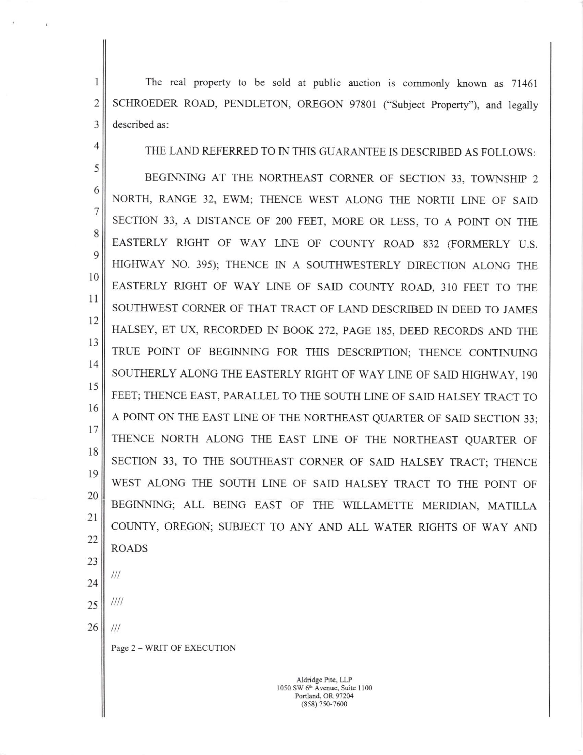I 2 3 The real property to be sold at public auction is commonly known as 71461 SCHROEDER ROAD, PENDLETON, OREGON 97801 ("Subject Property"), and legally described as:

THE LAND REFERRED TO IN THIS GUARANTEE IS DESCRIBED AS FOLLOWS:

5 6 7 8 9 l0 ll 12 13 t4 l5 l6 l7 r8 l9 20 2t 22 BEGINNING AT THE NORTHEAST CORNER OF SECTION 33, TOWNSHIP <sup>2</sup> NORTH, RANGE 32, EWM; THENCE WEST ALONG THE NORTH LINE OF SAID SECTION 33, A DISTANCE OF 200 FEET, MORE OR LESS, TO A POINT ON THE EASTERLY RIGHT OF WAY LINE OF COUNTY ROAD 832 (FORMERLY U.S. HIGHWAY NO. 395); THENCE IN A SOUTHWESTERLY DIRECTION ALONG THE EASTERLY RIGHT OF WAY LINE OF SAID COUNTY ROAD, 310 FEET TO THE SOUTHWEST CORNER OF THAT TRACT OF LAND DESCRIBED IN DEED TO JAMES HALSEY, ET UX, RECORDED IN BOOK 272, PAGE 185, DEED RECORDS AND THE TRUE POINT OF BEGINNING FOR THIS DESCRIPTION; THENCE CONTINUING SOUTHERLY ALONG THE EASTERLY RIGHT OF WAY LINE OF SAID HIGHWAY, I9O FEET; THENCE EAST, PARALLEL TO THE SOUTH LINE OF SAID HALSEY TRACT TO A POINT ON THE EAST LINE OF THE NORTHEAST QUARTER OF SAID SECTION 33; THENCE NORTH ALONG THE EAST LINE OF THE NORTHEAST QUARTER OF SECTION 33, TO THE SOUTHEAST CORNER OF SAID HALSEY TRACT; THENCE WEST ALONG THE SOUTH LINE OF SAID HALSEY TRACT TO THE POINT OF BEGINNING; ALL BEING EAST OF THE WILLAMETTE MERIDIAN, MATILLA COUNTY, OREGON; SUBJECT TO ANY AND ALL WATER RIGHTS OF WAY AND ROADS

23 24

 $111$ 

 $1111$ 

 $111$ 

4

- 25
- 26

Page 2 - WRIT OF EXECUTION

Aldridgc Pitc, LLP 1050 SW 6<sup>th</sup> Avenue, Suite 1100 Portland, OR 97204 (E58) 750-7600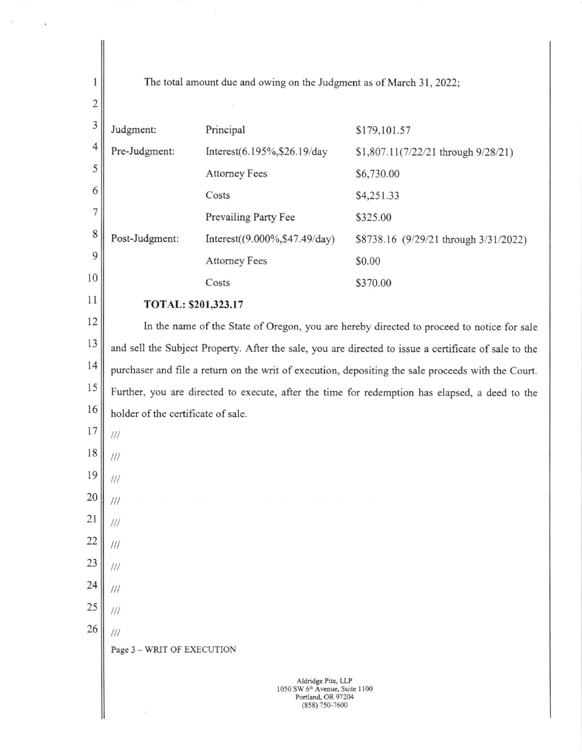The total amount due and owing on the Judgment as of March 31, 2022; Judgment: Principal \$179,101.57 Pre-Judgment: Interest(6.195%,\$26.19/day \$1,807.11(7/22/21 through 9/28/21) Attorney Fees \$6,730.00 Costs \$4,251.33 Prevailing Party Fee \$325.00 Post-Judgment: Interest((9.000%, \$47.49/day) \$8738.16 (9/29/21 through 3/31/2022) Attorney Fees \$0.00 Costs 5370.00 ll TOTAL: \$201,323.17 In the name of the State of Oregon, you are hereby directed to proceed to notice for sale and sell the Subject Property. After the sale, you are directed to issue a certificate of sale to the purchaser and file a retum on the writ of execution, depositing the sale proceeds with the Court. l5 Further, you are directed to execute, after the time for redemption has elapsed, a deed to the holder of the certificate of sale. Page 3 - WRIT OF EXECUTION Aldridgc Pitc, LLP 1050 SW 6<sup>th</sup> Avenue, Suite 1100 Portland, OR 97204 (858) 750-7600